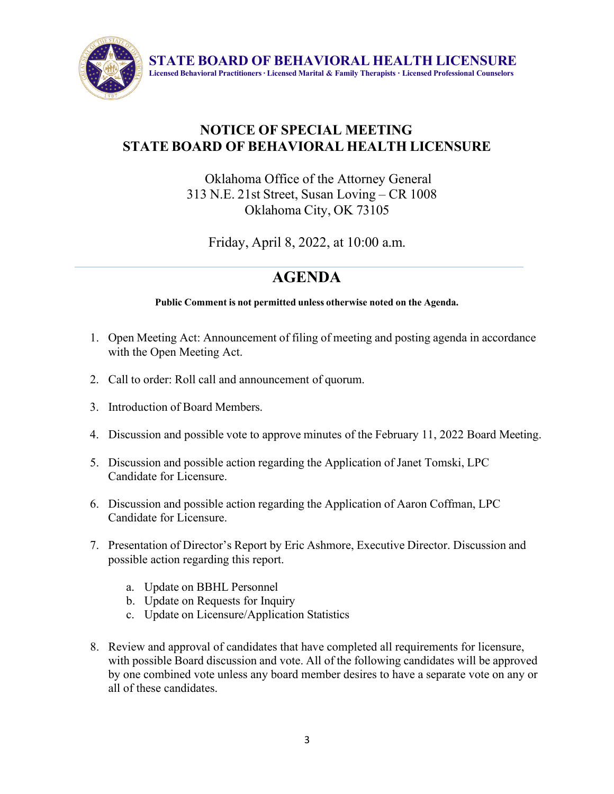

**STATE BOARD OF BEHAVIORAL HEALTH LICENSURE Licensed Behavioral Practitioners ∙ Licensed Marital & Family Therapists ∙ Licensed Professional Counselors**

## **NOTICE OF SPECIAL MEETING STATE BOARD OF BEHAVIORAL HEALTH LICENSURE**

## Oklahoma Office of the Attorney General 313 N.E. 21st Street, Susan Loving – CR 1008 Oklahoma City, OK 73105

Friday, April 8, 2022, at 10:00 a.m.

## **AGENDA**

**Public Comment is not permitted unless otherwise noted on the Agenda.**

- 1. Open Meeting Act: Announcement of filing of meeting and posting agenda in accordance with the Open Meeting Act.
- 2. Call to order: Roll call and announcement of quorum.
- 3. Introduction of Board Members.
- 4. Discussion and possible vote to approve minutes of the February 11, 2022 Board Meeting.
- 5. Discussion and possible action regarding the Application of Janet Tomski, LPC Candidate for Licensure.
- 6. Discussion and possible action regarding the Application of Aaron Coffman, LPC Candidate for Licensure.
- 7. Presentation of Director's Report by Eric Ashmore, Executive Director. Discussion and possible action regarding this report.
	- a. Update on BBHL Personnel
	- b. Update on Requests for Inquiry
	- c. Update on Licensure/Application Statistics
- 8. Review and approval of candidates that have completed all requirements for licensure, with possible Board discussion and vote. All of the following candidates will be approved by one combined vote unless any board member desires to have a separate vote on any or all of these candidates.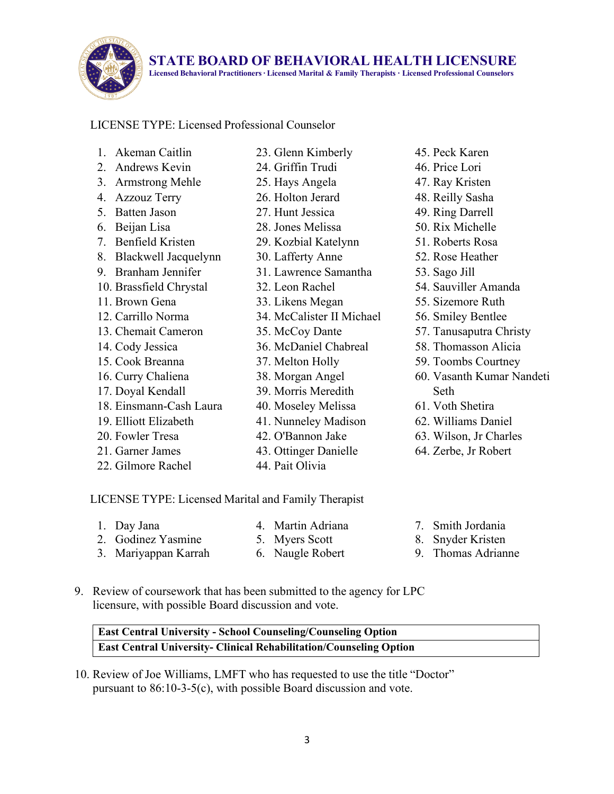

**STATE BOARD OF BEHAVIORAL HEALTH LICENSURE**

**Licensed Behavioral Practitioners ∙ Licensed Marital & Family Therapists ∙ Licensed Professional Counselors**

## LICENSE TYPE: Licensed Professional Counselor

- 1. Akeman Caitlin
- 2. Andrews Kevin
- 3. Armstrong Mehle
- 4. Azzouz Terry
- 5. Batten Jason
- 6. Beijan Lisa
- 7. Benfield Kristen
- 8. Blackwell Jacquelynn
- 9. Branham Jennifer
- 10. Brassfield Chrystal
- 11. Brown Gena
- 12. Carrillo Norma
- 13. Chemait Cameron
- 14. Cody Jessica
- 15. Cook Breanna
- 16. Curry Chaliena
- 17. Doyal Kendall
- 18. Einsmann-Cash Laura
- 19. Elliott Elizabeth
- 20. Fowler Tresa
- 21. Garner James
- 22. Gilmore Rachel
- 23. Glenn Kimberly
- 24. Griffin Trudi
- 25. Hays Angela
- 26. Holton Jerard
- 27. Hunt Jessica
- 28. Jones Melissa
- 29. Kozbial Katelynn
- 30. Lafferty Anne
- 31. Lawrence Samantha
- 32. Leon Rachel
- 33. Likens Megan
- 34. McCalister II Michael
- 35. McCoy Dante
- 36. McDaniel Chabreal
- 37. Melton Holly
- 38. Morgan Angel
- 39. Morris Meredith
- 40. Moseley Melissa
- 41. Nunneley Madison
- 42. O'Bannon Jake
- 43. Ottinger Danielle
- 44. Pait Olivia
- 45. Peck Karen
- 46. Price Lori
- 47. Ray Kristen
- 48. Reilly Sasha
- 49. Ring Darrell
- 50. Rix Michelle
- 51. Roberts Rosa
- 52. Rose Heather
- 53. Sago Jill
- 54. Sauviller Amanda
- 55. Sizemore Ruth
- 56. Smiley Bentlee
- 57. Tanusaputra Christy
- 58. Thomasson Alicia
- 59. Toombs Courtney
- 60. Vasanth Kumar Nandeti Seth
- 61. Voth Shetira
- 62. Williams Daniel
- 63. Wilson, Jr Charles
- 64. Zerbe, Jr Robert

LICENSE TYPE: Licensed Marital and Family Therapist

1. Day Jana

- 4. Martin Adriana 5. Myers Scott
- 2. Godinez Yasmine 3. Mariyappan Karrah 6. Naugle Robert
- 7. Smith Jordania
- 8. Snyder Kristen
- 9. Thomas Adrianne
- 9. Review of coursework that has been submitted to the agency for LPC licensure, with possible Board discussion and vote.

| <b>East Central University - School Counseling/Counseling Option</b>      |  |
|---------------------------------------------------------------------------|--|
| <b>East Central University- Clinical Rehabilitation/Counseling Option</b> |  |

10. Review of Joe Williams, LMFT who has requested to use the title "Doctor" pursuant to 86:10-3-5(c), with possible Board discussion and vote.